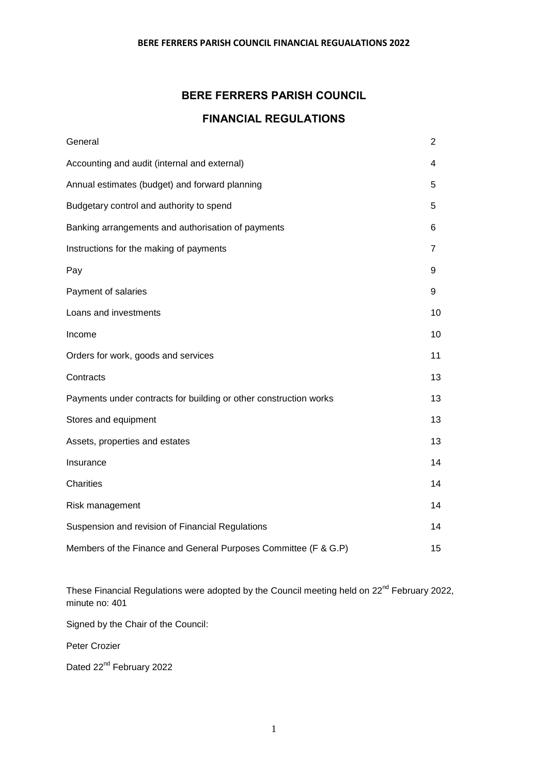# **BERE FERRERS PARISH COUNCIL**

# **FINANCIAL REGULATIONS**

| General                                                           | $\overline{2}$ |
|-------------------------------------------------------------------|----------------|
| Accounting and audit (internal and external)                      | 4              |
| Annual estimates (budget) and forward planning                    | 5              |
| Budgetary control and authority to spend                          | 5              |
| Banking arrangements and authorisation of payments                | 6              |
| Instructions for the making of payments                           | 7              |
| Pay                                                               | 9              |
| Payment of salaries                                               | 9              |
| Loans and investments                                             | 10             |
| Income                                                            | 10             |
| Orders for work, goods and services                               | 11             |
| Contracts                                                         | 13             |
| Payments under contracts for building or other construction works | 13             |
| Stores and equipment                                              | 13             |
| Assets, properties and estates                                    | 13             |
| Insurance                                                         | 14             |
| Charities                                                         | 14             |
| Risk management                                                   | 14             |
| Suspension and revision of Financial Regulations                  | 14             |
| Members of the Finance and General Purposes Committee (F & G.P)   | 15             |

These Financial Regulations were adopted by the Council meeting held on 22<sup>nd</sup> February 2022, minute no: 401

Signed by the Chair of the Council:

Peter Crozier

Dated 22<sup>nd</sup> February 2022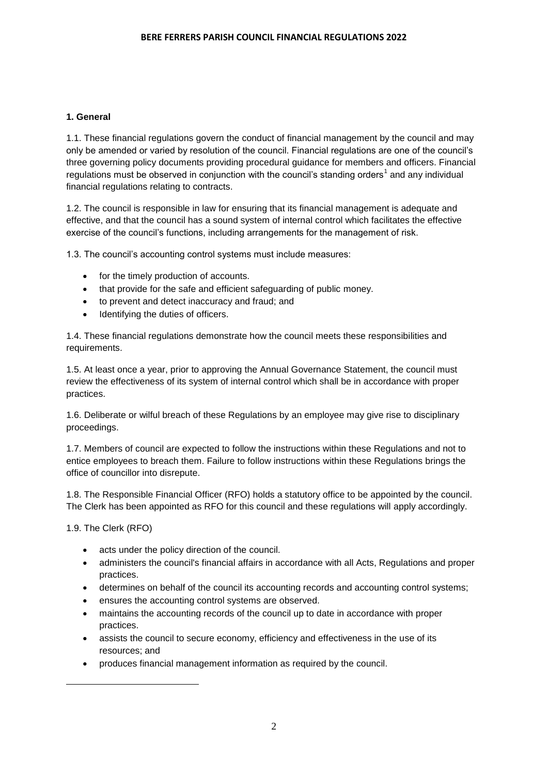# **1. General**

1.1. These financial regulations govern the conduct of financial management by the council and may only be amended or varied by resolution of the council. Financial regulations are one of the council's three governing policy documents providing procedural guidance for members and officers. Financial regulations must be observed in conjunction with the council's standing orders<sup>1</sup> and any individual financial regulations relating to contracts.

1.2. The council is responsible in law for ensuring that its financial management is adequate and effective, and that the council has a sound system of internal control which facilitates the effective exercise of the council's functions, including arrangements for the management of risk.

1.3. The council's accounting control systems must include measures:

- for the timely production of accounts.
- that provide for the safe and efficient safeguarding of public money.
- to prevent and detect inaccuracy and fraud; and
- Identifying the duties of officers.

1.4. These financial regulations demonstrate how the council meets these responsibilities and requirements.

1.5. At least once a year, prior to approving the Annual Governance Statement, the council must review the effectiveness of its system of internal control which shall be in accordance with proper practices.

1.6. Deliberate or wilful breach of these Regulations by an employee may give rise to disciplinary proceedings.

1.7. Members of council are expected to follow the instructions within these Regulations and not to entice employees to breach them. Failure to follow instructions within these Regulations brings the office of councillor into disrepute.

1.8. The Responsible Financial Officer (RFO) holds a statutory office to be appointed by the council. The Clerk has been appointed as RFO for this council and these regulations will apply accordingly.

1.9. The Clerk (RFO)

**.** 

- acts under the policy direction of the council.
- administers the council's financial affairs in accordance with all Acts, Regulations and proper practices.
- determines on behalf of the council its accounting records and accounting control systems;
- ensures the accounting control systems are observed.
- maintains the accounting records of the council up to date in accordance with proper practices.
- assists the council to secure economy, efficiency and effectiveness in the use of its resources; and
- produces financial management information as required by the council.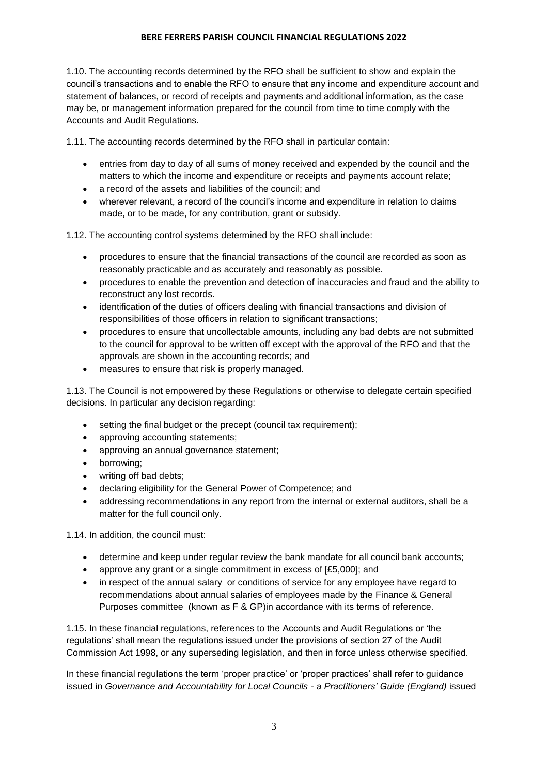1.10. The accounting records determined by the RFO shall be sufficient to show and explain the council's transactions and to enable the RFO to ensure that any income and expenditure account and statement of balances, or record of receipts and payments and additional information, as the case may be, or management information prepared for the council from time to time comply with the Accounts and Audit Regulations.

1.11. The accounting records determined by the RFO shall in particular contain:

- entries from day to day of all sums of money received and expended by the council and the matters to which the income and expenditure or receipts and payments account relate;
- a record of the assets and liabilities of the council; and
- wherever relevant, a record of the council's income and expenditure in relation to claims made, or to be made, for any contribution, grant or subsidy.

1.12. The accounting control systems determined by the RFO shall include:

- procedures to ensure that the financial transactions of the council are recorded as soon as reasonably practicable and as accurately and reasonably as possible.
- procedures to enable the prevention and detection of inaccuracies and fraud and the ability to reconstruct any lost records.
- identification of the duties of officers dealing with financial transactions and division of responsibilities of those officers in relation to significant transactions;
- procedures to ensure that uncollectable amounts, including any bad debts are not submitted to the council for approval to be written off except with the approval of the RFO and that the approvals are shown in the accounting records; and
- measures to ensure that risk is properly managed.

1.13. The Council is not empowered by these Regulations or otherwise to delegate certain specified decisions. In particular any decision regarding:

- setting the final budget or the precept (council tax requirement);
- approving accounting statements;
- approving an annual governance statement;
- borrowing;
- writing off bad debts;
- declaring eligibility for the General Power of Competence; and
- addressing recommendations in any report from the internal or external auditors, shall be a matter for the full council only.

1.14. In addition, the council must:

- determine and keep under regular review the bank mandate for all council bank accounts;
- approve any grant or a single commitment in excess of [£5,000]; and
- in respect of the annual salary or conditions of service for any employee have regard to recommendations about annual salaries of employees made by the Finance & General Purposes committee (known as F & GP)in accordance with its terms of reference.

1.15. In these financial regulations, references to the Accounts and Audit Regulations or 'the regulations' shall mean the regulations issued under the provisions of section 27 of the Audit Commission Act 1998, or any superseding legislation, and then in force unless otherwise specified.

In these financial regulations the term 'proper practice' or 'proper practices' shall refer to guidance issued in *Governance and Accountability for Local Councils - a Practitioners' Guide (England)* issued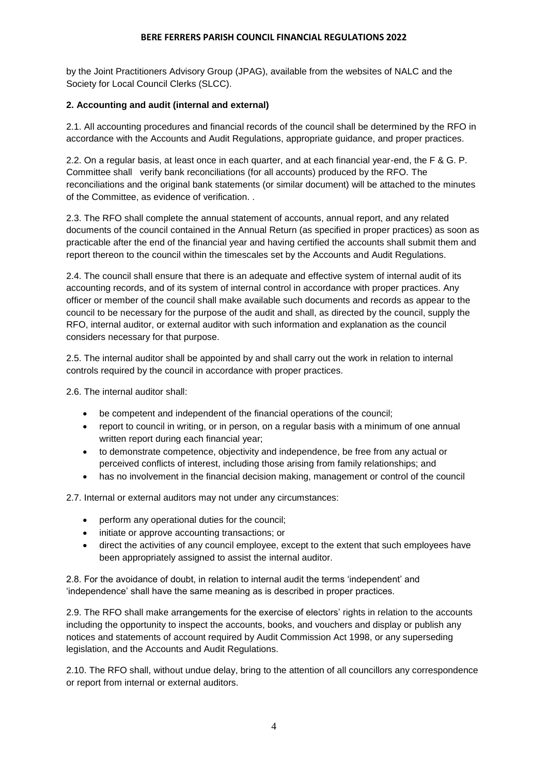by the Joint Practitioners Advisory Group (JPAG), available from the websites of NALC and the Society for Local Council Clerks (SLCC).

# **2. Accounting and audit (internal and external)**

2.1. All accounting procedures and financial records of the council shall be determined by the RFO in accordance with the Accounts and Audit Regulations, appropriate guidance, and proper practices.

2.2. On a regular basis, at least once in each quarter, and at each financial year-end, the F & G. P. Committee shall verify bank reconciliations (for all accounts) produced by the RFO. The reconciliations and the original bank statements (or similar document) will be attached to the minutes of the Committee, as evidence of verification. .

2.3. The RFO shall complete the annual statement of accounts, annual report, and any related documents of the council contained in the Annual Return (as specified in proper practices) as soon as practicable after the end of the financial year and having certified the accounts shall submit them and report thereon to the council within the timescales set by the Accounts and Audit Regulations.

2.4. The council shall ensure that there is an adequate and effective system of internal audit of its accounting records, and of its system of internal control in accordance with proper practices. Any officer or member of the council shall make available such documents and records as appear to the council to be necessary for the purpose of the audit and shall, as directed by the council, supply the RFO, internal auditor, or external auditor with such information and explanation as the council considers necessary for that purpose.

2.5. The internal auditor shall be appointed by and shall carry out the work in relation to internal controls required by the council in accordance with proper practices.

2.6. The internal auditor shall:

- be competent and independent of the financial operations of the council;
- report to council in writing, or in person, on a regular basis with a minimum of one annual written report during each financial year:
- to demonstrate competence, objectivity and independence, be free from any actual or perceived conflicts of interest, including those arising from family relationships; and
- has no involvement in the financial decision making, management or control of the council

2.7. Internal or external auditors may not under any circumstances:

- perform any operational duties for the council;
- initiate or approve accounting transactions; or
- direct the activities of any council employee, except to the extent that such employees have been appropriately assigned to assist the internal auditor.

2.8. For the avoidance of doubt, in relation to internal audit the terms 'independent' and 'independence' shall have the same meaning as is described in proper practices.

2.9. The RFO shall make arrangements for the exercise of electors' rights in relation to the accounts including the opportunity to inspect the accounts, books, and vouchers and display or publish any notices and statements of account required by Audit Commission Act 1998, or any superseding legislation, and the Accounts and Audit Regulations.

2.10. The RFO shall, without undue delay, bring to the attention of all councillors any correspondence or report from internal or external auditors.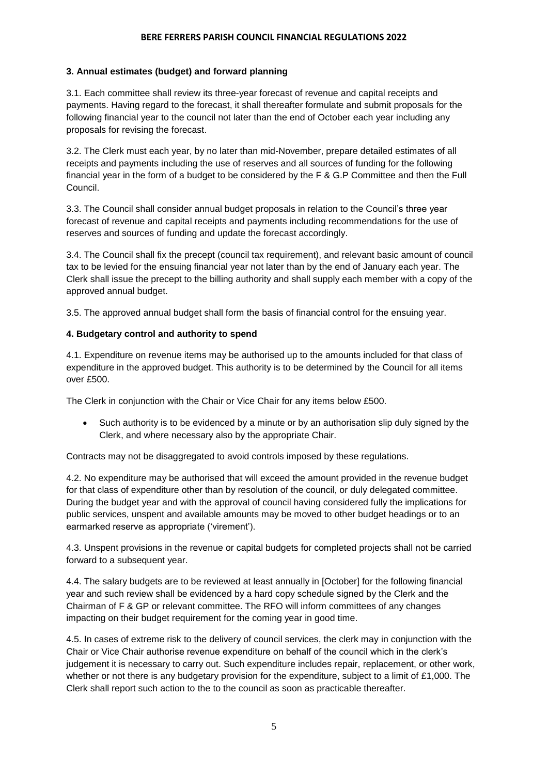# **3. Annual estimates (budget) and forward planning**

3.1. Each committee shall review its three-year forecast of revenue and capital receipts and payments. Having regard to the forecast, it shall thereafter formulate and submit proposals for the following financial year to the council not later than the end of October each year including any proposals for revising the forecast.

3.2. The Clerk must each year, by no later than mid-November, prepare detailed estimates of all receipts and payments including the use of reserves and all sources of funding for the following financial year in the form of a budget to be considered by the F & G.P Committee and then the Full Council.

3.3. The Council shall consider annual budget proposals in relation to the Council's three year forecast of revenue and capital receipts and payments including recommendations for the use of reserves and sources of funding and update the forecast accordingly.

3.4. The Council shall fix the precept (council tax requirement), and relevant basic amount of council tax to be levied for the ensuing financial year not later than by the end of January each year. The Clerk shall issue the precept to the billing authority and shall supply each member with a copy of the approved annual budget.

3.5. The approved annual budget shall form the basis of financial control for the ensuing year.

# **4. Budgetary control and authority to spend**

4.1. Expenditure on revenue items may be authorised up to the amounts included for that class of expenditure in the approved budget. This authority is to be determined by the Council for all items over £500.

The Clerk in conjunction with the Chair or Vice Chair for any items below £500.

 Such authority is to be evidenced by a minute or by an authorisation slip duly signed by the Clerk, and where necessary also by the appropriate Chair.

Contracts may not be disaggregated to avoid controls imposed by these regulations.

4.2. No expenditure may be authorised that will exceed the amount provided in the revenue budget for that class of expenditure other than by resolution of the council, or duly delegated committee. During the budget year and with the approval of council having considered fully the implications for public services, unspent and available amounts may be moved to other budget headings or to an earmarked reserve as appropriate ('virement').

4.3. Unspent provisions in the revenue or capital budgets for completed projects shall not be carried forward to a subsequent year.

4.4. The salary budgets are to be reviewed at least annually in [October] for the following financial year and such review shall be evidenced by a hard copy schedule signed by the Clerk and the Chairman of F & GP or relevant committee. The RFO will inform committees of any changes impacting on their budget requirement for the coming year in good time.

4.5. In cases of extreme risk to the delivery of council services, the clerk may in conjunction with the Chair or Vice Chair authorise revenue expenditure on behalf of the council which in the clerk's judgement it is necessary to carry out. Such expenditure includes repair, replacement, or other work, whether or not there is any budgetary provision for the expenditure, subject to a limit of £1,000. The Clerk shall report such action to the to the council as soon as practicable thereafter.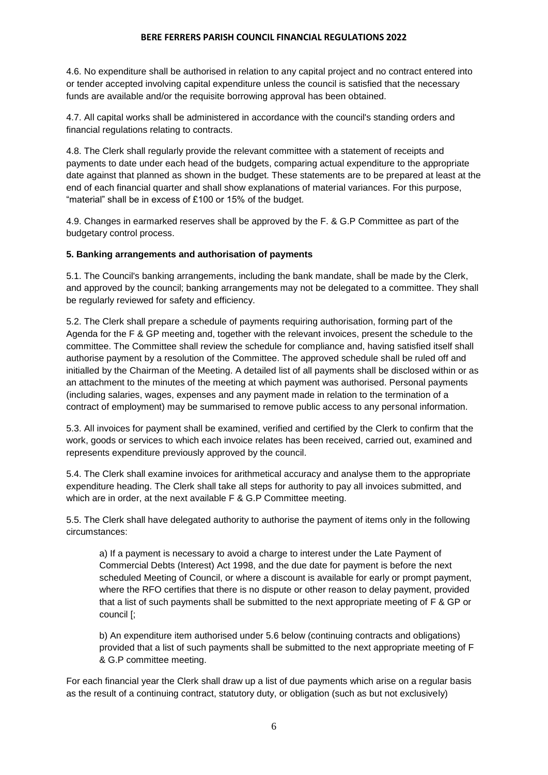4.6. No expenditure shall be authorised in relation to any capital project and no contract entered into or tender accepted involving capital expenditure unless the council is satisfied that the necessary funds are available and/or the requisite borrowing approval has been obtained.

4.7. All capital works shall be administered in accordance with the council's standing orders and financial regulations relating to contracts.

4.8. The Clerk shall regularly provide the relevant committee with a statement of receipts and payments to date under each head of the budgets, comparing actual expenditure to the appropriate date against that planned as shown in the budget. These statements are to be prepared at least at the end of each financial quarter and shall show explanations of material variances. For this purpose, "material" shall be in excess of £100 or 15% of the budget.

4.9. Changes in earmarked reserves shall be approved by the F. & G.P Committee as part of the budgetary control process.

# **5. Banking arrangements and authorisation of payments**

5.1. The Council's banking arrangements, including the bank mandate, shall be made by the Clerk, and approved by the council; banking arrangements may not be delegated to a committee. They shall be regularly reviewed for safety and efficiency.

5.2. The Clerk shall prepare a schedule of payments requiring authorisation, forming part of the Agenda for the F & GP meeting and, together with the relevant invoices, present the schedule to the committee. The Committee shall review the schedule for compliance and, having satisfied itself shall authorise payment by a resolution of the Committee. The approved schedule shall be ruled off and initialled by the Chairman of the Meeting. A detailed list of all payments shall be disclosed within or as an attachment to the minutes of the meeting at which payment was authorised. Personal payments (including salaries, wages, expenses and any payment made in relation to the termination of a contract of employment) may be summarised to remove public access to any personal information.

5.3. All invoices for payment shall be examined, verified and certified by the Clerk to confirm that the work, goods or services to which each invoice relates has been received, carried out, examined and represents expenditure previously approved by the council.

5.4. The Clerk shall examine invoices for arithmetical accuracy and analyse them to the appropriate expenditure heading. The Clerk shall take all steps for authority to pay all invoices submitted, and which are in order, at the next available F & G.P Committee meeting.

5.5. The Clerk shall have delegated authority to authorise the payment of items only in the following circumstances:

a) If a payment is necessary to avoid a charge to interest under the Late Payment of Commercial Debts (Interest) Act 1998, and the due date for payment is before the next scheduled Meeting of Council, or where a discount is available for early or prompt payment, where the RFO certifies that there is no dispute or other reason to delay payment, provided that a list of such payments shall be submitted to the next appropriate meeting of F & GP or council [;

b) An expenditure item authorised under 5.6 below (continuing contracts and obligations) provided that a list of such payments shall be submitted to the next appropriate meeting of F & G.P committee meeting.

For each financial year the Clerk shall draw up a list of due payments which arise on a regular basis as the result of a continuing contract, statutory duty, or obligation (such as but not exclusively)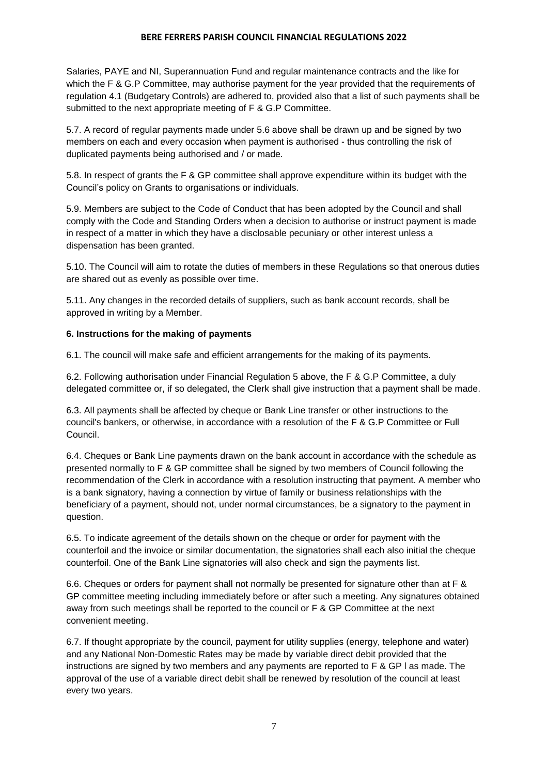Salaries, PAYE and NI, Superannuation Fund and regular maintenance contracts and the like for which the F & G.P Committee, may authorise payment for the year provided that the requirements of regulation 4.1 (Budgetary Controls) are adhered to, provided also that a list of such payments shall be submitted to the next appropriate meeting of F & G.P Committee.

5.7. A record of regular payments made under 5.6 above shall be drawn up and be signed by two members on each and every occasion when payment is authorised - thus controlling the risk of duplicated payments being authorised and / or made.

5.8. In respect of grants the F & GP committee shall approve expenditure within its budget with the Council's policy on Grants to organisations or individuals.

5.9. Members are subject to the Code of Conduct that has been adopted by the Council and shall comply with the Code and Standing Orders when a decision to authorise or instruct payment is made in respect of a matter in which they have a disclosable pecuniary or other interest unless a dispensation has been granted.

5.10. The Council will aim to rotate the duties of members in these Regulations so that onerous duties are shared out as evenly as possible over time.

5.11. Any changes in the recorded details of suppliers, such as bank account records, shall be approved in writing by a Member.

# **6. Instructions for the making of payments**

6.1. The council will make safe and efficient arrangements for the making of its payments.

6.2. Following authorisation under Financial Regulation 5 above, the F & G.P Committee, a duly delegated committee or, if so delegated, the Clerk shall give instruction that a payment shall be made.

6.3. All payments shall be affected by cheque or Bank Line transfer or other instructions to the council's bankers, or otherwise, in accordance with a resolution of the F & G.P Committee or Full Council.

6.4. Cheques or Bank Line payments drawn on the bank account in accordance with the schedule as presented normally to F & GP committee shall be signed by two members of Council following the recommendation of the Clerk in accordance with a resolution instructing that payment. A member who is a bank signatory, having a connection by virtue of family or business relationships with the beneficiary of a payment, should not, under normal circumstances, be a signatory to the payment in question.

6.5. To indicate agreement of the details shown on the cheque or order for payment with the counterfoil and the invoice or similar documentation, the signatories shall each also initial the cheque counterfoil. One of the Bank Line signatories will also check and sign the payments list.

6.6. Cheques or orders for payment shall not normally be presented for signature other than at F & GP committee meeting including immediately before or after such a meeting. Any signatures obtained away from such meetings shall be reported to the council or F & GP Committee at the next convenient meeting.

6.7. If thought appropriate by the council, payment for utility supplies (energy, telephone and water) and any National Non-Domestic Rates may be made by variable direct debit provided that the instructions are signed by two members and any payments are reported to F & GP l as made. The approval of the use of a variable direct debit shall be renewed by resolution of the council at least every two years.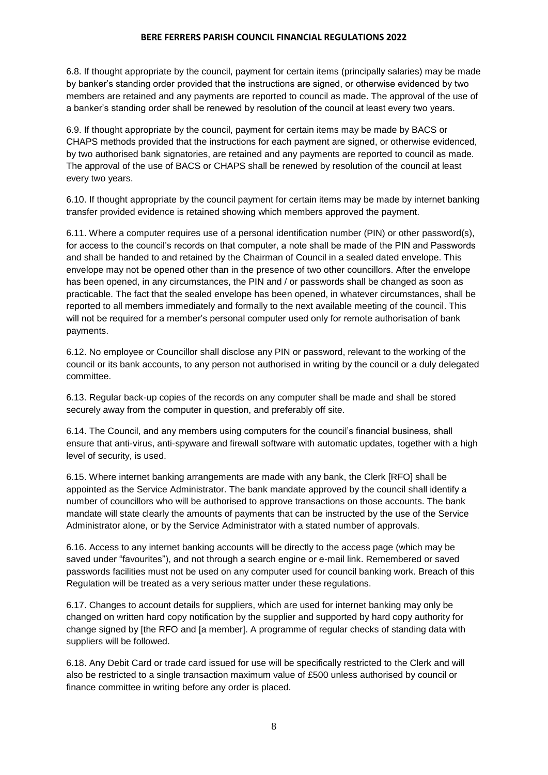6.8. If thought appropriate by the council, payment for certain items (principally salaries) may be made by banker's standing order provided that the instructions are signed, or otherwise evidenced by two members are retained and any payments are reported to council as made. The approval of the use of a banker's standing order shall be renewed by resolution of the council at least every two years.

6.9. If thought appropriate by the council, payment for certain items may be made by BACS or CHAPS methods provided that the instructions for each payment are signed, or otherwise evidenced, by two authorised bank signatories, are retained and any payments are reported to council as made. The approval of the use of BACS or CHAPS shall be renewed by resolution of the council at least every two years.

6.10. If thought appropriate by the council payment for certain items may be made by internet banking transfer provided evidence is retained showing which members approved the payment.

6.11. Where a computer requires use of a personal identification number (PIN) or other password(s), for access to the council's records on that computer, a note shall be made of the PIN and Passwords and shall be handed to and retained by the Chairman of Council in a sealed dated envelope. This envelope may not be opened other than in the presence of two other councillors. After the envelope has been opened, in any circumstances, the PIN and / or passwords shall be changed as soon as practicable. The fact that the sealed envelope has been opened, in whatever circumstances, shall be reported to all members immediately and formally to the next available meeting of the council. This will not be required for a member's personal computer used only for remote authorisation of bank payments.

6.12. No employee or Councillor shall disclose any PIN or password, relevant to the working of the council or its bank accounts, to any person not authorised in writing by the council or a duly delegated committee.

6.13. Regular back-up copies of the records on any computer shall be made and shall be stored securely away from the computer in question, and preferably off site.

6.14. The Council, and any members using computers for the council's financial business, shall ensure that anti-virus, anti-spyware and firewall software with automatic updates, together with a high level of security, is used.

6.15. Where internet banking arrangements are made with any bank, the Clerk [RFO] shall be appointed as the Service Administrator. The bank mandate approved by the council shall identify a number of councillors who will be authorised to approve transactions on those accounts. The bank mandate will state clearly the amounts of payments that can be instructed by the use of the Service Administrator alone, or by the Service Administrator with a stated number of approvals.

6.16. Access to any internet banking accounts will be directly to the access page (which may be saved under "favourites"), and not through a search engine or e-mail link. Remembered or saved passwords facilities must not be used on any computer used for council banking work. Breach of this Regulation will be treated as a very serious matter under these regulations.

6.17. Changes to account details for suppliers, which are used for internet banking may only be changed on written hard copy notification by the supplier and supported by hard copy authority for change signed by [the RFO and [a member]. A programme of regular checks of standing data with suppliers will be followed.

6.18. Any Debit Card or trade card issued for use will be specifically restricted to the Clerk and will also be restricted to a single transaction maximum value of £500 unless authorised by council or finance committee in writing before any order is placed.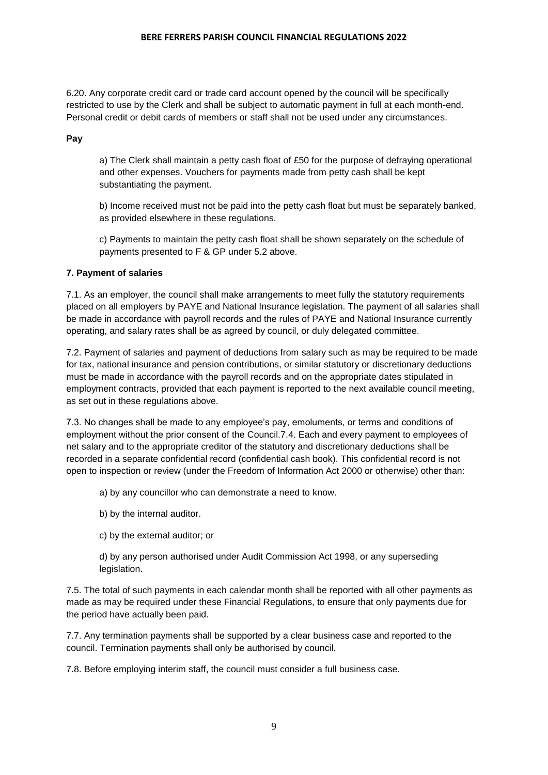6.20. Any corporate credit card or trade card account opened by the council will be specifically restricted to use by the Clerk and shall be subject to automatic payment in full at each month-end. Personal credit or debit cards of members or staff shall not be used under any circumstances.

**Pay**

a) The Clerk shall maintain a petty cash float of £50 for the purpose of defraying operational and other expenses. Vouchers for payments made from petty cash shall be kept substantiating the payment.

b) Income received must not be paid into the petty cash float but must be separately banked, as provided elsewhere in these regulations.

c) Payments to maintain the petty cash float shall be shown separately on the schedule of payments presented to F & GP under 5.2 above.

# **7. Payment of salaries**

7.1. As an employer, the council shall make arrangements to meet fully the statutory requirements placed on all employers by PAYE and National Insurance legislation. The payment of all salaries shall be made in accordance with payroll records and the rules of PAYE and National Insurance currently operating, and salary rates shall be as agreed by council, or duly delegated committee.

7.2. Payment of salaries and payment of deductions from salary such as may be required to be made for tax, national insurance and pension contributions, or similar statutory or discretionary deductions must be made in accordance with the payroll records and on the appropriate dates stipulated in employment contracts, provided that each payment is reported to the next available council meeting, as set out in these regulations above.

7.3. No changes shall be made to any employee's pay, emoluments, or terms and conditions of employment without the prior consent of the Council.7.4. Each and every payment to employees of net salary and to the appropriate creditor of the statutory and discretionary deductions shall be recorded in a separate confidential record (confidential cash book). This confidential record is not open to inspection or review (under the Freedom of Information Act 2000 or otherwise) other than:

a) by any councillor who can demonstrate a need to know.

b) by the internal auditor.

c) by the external auditor; or

d) by any person authorised under Audit Commission Act 1998, or any superseding legislation.

7.5. The total of such payments in each calendar month shall be reported with all other payments as made as may be required under these Financial Regulations, to ensure that only payments due for the period have actually been paid.

7.7. Any termination payments shall be supported by a clear business case and reported to the council. Termination payments shall only be authorised by council.

7.8. Before employing interim staff, the council must consider a full business case.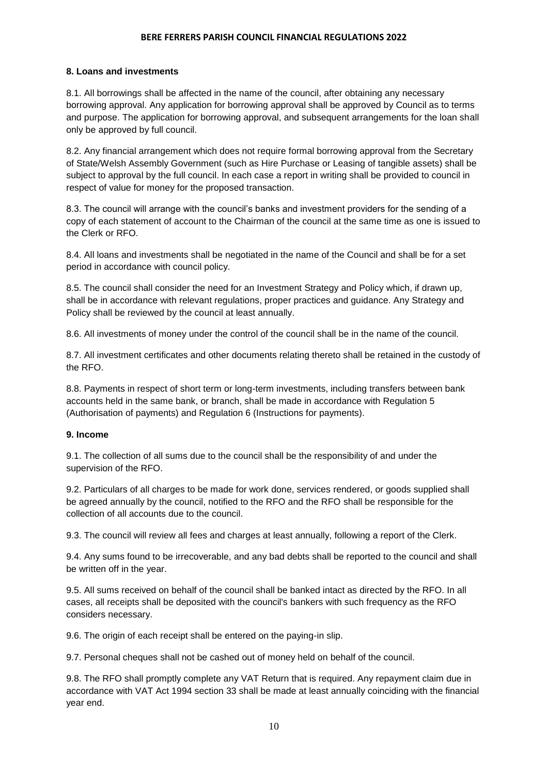# **8. Loans and investments**

8.1. All borrowings shall be affected in the name of the council, after obtaining any necessary borrowing approval. Any application for borrowing approval shall be approved by Council as to terms and purpose. The application for borrowing approval, and subsequent arrangements for the loan shall only be approved by full council.

8.2. Any financial arrangement which does not require formal borrowing approval from the Secretary of State/Welsh Assembly Government (such as Hire Purchase or Leasing of tangible assets) shall be subject to approval by the full council. In each case a report in writing shall be provided to council in respect of value for money for the proposed transaction.

8.3. The council will arrange with the council's banks and investment providers for the sending of a copy of each statement of account to the Chairman of the council at the same time as one is issued to the Clerk or RFO.

8.4. All loans and investments shall be negotiated in the name of the Council and shall be for a set period in accordance with council policy.

8.5. The council shall consider the need for an Investment Strategy and Policy which, if drawn up, shall be in accordance with relevant regulations, proper practices and guidance. Any Strategy and Policy shall be reviewed by the council at least annually.

8.6. All investments of money under the control of the council shall be in the name of the council.

8.7. All investment certificates and other documents relating thereto shall be retained in the custody of the RFO.

8.8. Payments in respect of short term or long-term investments, including transfers between bank accounts held in the same bank, or branch, shall be made in accordance with Regulation 5 (Authorisation of payments) and Regulation 6 (Instructions for payments).

# **9. Income**

9.1. The collection of all sums due to the council shall be the responsibility of and under the supervision of the RFO.

9.2. Particulars of all charges to be made for work done, services rendered, or goods supplied shall be agreed annually by the council, notified to the RFO and the RFO shall be responsible for the collection of all accounts due to the council.

9.3. The council will review all fees and charges at least annually, following a report of the Clerk.

9.4. Any sums found to be irrecoverable, and any bad debts shall be reported to the council and shall be written off in the year.

9.5. All sums received on behalf of the council shall be banked intact as directed by the RFO. In all cases, all receipts shall be deposited with the council's bankers with such frequency as the RFO considers necessary.

9.6. The origin of each receipt shall be entered on the paying-in slip.

9.7. Personal cheques shall not be cashed out of money held on behalf of the council.

9.8. The RFO shall promptly complete any VAT Return that is required. Any repayment claim due in accordance with VAT Act 1994 section 33 shall be made at least annually coinciding with the financial year end.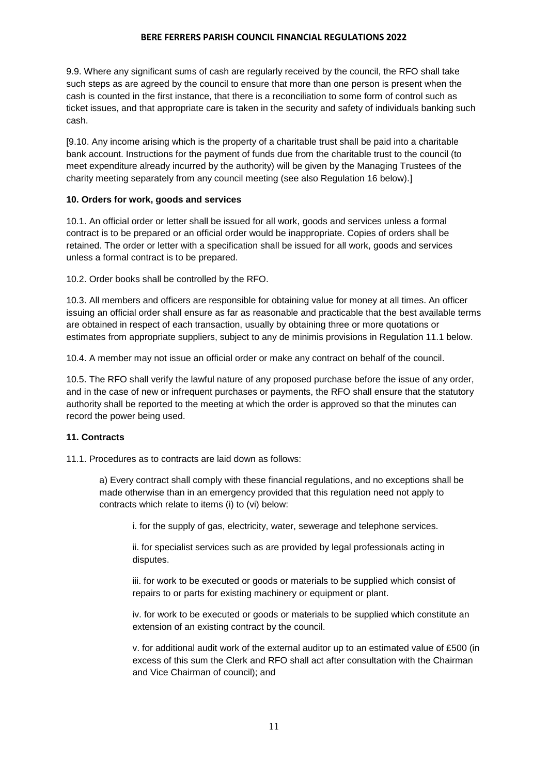9.9. Where any significant sums of cash are regularly received by the council, the RFO shall take such steps as are agreed by the council to ensure that more than one person is present when the cash is counted in the first instance, that there is a reconciliation to some form of control such as ticket issues, and that appropriate care is taken in the security and safety of individuals banking such cash.

[9.10. Any income arising which is the property of a charitable trust shall be paid into a charitable bank account. Instructions for the payment of funds due from the charitable trust to the council (to meet expenditure already incurred by the authority) will be given by the Managing Trustees of the charity meeting separately from any council meeting (see also Regulation 16 below).]

# **10. Orders for work, goods and services**

10.1. An official order or letter shall be issued for all work, goods and services unless a formal contract is to be prepared or an official order would be inappropriate. Copies of orders shall be retained. The order or letter with a specification shall be issued for all work, goods and services unless a formal contract is to be prepared.

10.2. Order books shall be controlled by the RFO.

10.3. All members and officers are responsible for obtaining value for money at all times. An officer issuing an official order shall ensure as far as reasonable and practicable that the best available terms are obtained in respect of each transaction, usually by obtaining three or more quotations or estimates from appropriate suppliers, subject to any de minimis provisions in Regulation 11.1 below.

10.4. A member may not issue an official order or make any contract on behalf of the council.

10.5. The RFO shall verify the lawful nature of any proposed purchase before the issue of any order, and in the case of new or infrequent purchases or payments, the RFO shall ensure that the statutory authority shall be reported to the meeting at which the order is approved so that the minutes can record the power being used.

# **11. Contracts**

11.1. Procedures as to contracts are laid down as follows:

a) Every contract shall comply with these financial regulations, and no exceptions shall be made otherwise than in an emergency provided that this regulation need not apply to contracts which relate to items (i) to (vi) below:

i. for the supply of gas, electricity, water, sewerage and telephone services.

ii. for specialist services such as are provided by legal professionals acting in disputes.

iii. for work to be executed or goods or materials to be supplied which consist of repairs to or parts for existing machinery or equipment or plant.

iv. for work to be executed or goods or materials to be supplied which constitute an extension of an existing contract by the council.

v. for additional audit work of the external auditor up to an estimated value of £500 (in excess of this sum the Clerk and RFO shall act after consultation with the Chairman and Vice Chairman of council); and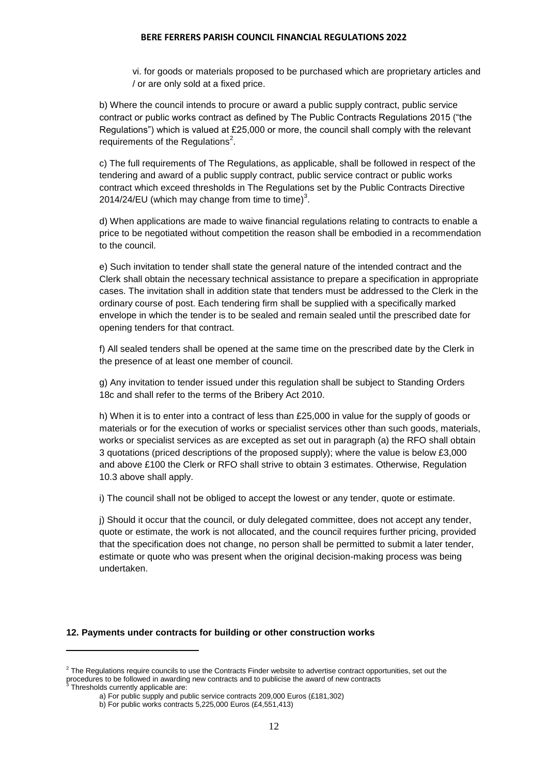vi. for goods or materials proposed to be purchased which are proprietary articles and / or are only sold at a fixed price.

b) Where the council intends to procure or award a public supply contract, public service contract or public works contract as defined by The Public Contracts Regulations 2015 ("the Regulations") which is valued at £25,000 or more, the council shall comply with the relevant requirements of the Regulations $2$ .

c) The full requirements of The Regulations, as applicable, shall be followed in respect of the tendering and award of a public supply contract, public service contract or public works contract which exceed thresholds in The Regulations set by the Public Contracts Directive 2014/24/EU (which may change from time to time)<sup>3</sup>.

d) When applications are made to waive financial regulations relating to contracts to enable a price to be negotiated without competition the reason shall be embodied in a recommendation to the council.

e) Such invitation to tender shall state the general nature of the intended contract and the Clerk shall obtain the necessary technical assistance to prepare a specification in appropriate cases. The invitation shall in addition state that tenders must be addressed to the Clerk in the ordinary course of post. Each tendering firm shall be supplied with a specifically marked envelope in which the tender is to be sealed and remain sealed until the prescribed date for opening tenders for that contract.

f) All sealed tenders shall be opened at the same time on the prescribed date by the Clerk in the presence of at least one member of council.

g) Any invitation to tender issued under this regulation shall be subject to Standing Orders 18c and shall refer to the terms of the Bribery Act 2010.

h) When it is to enter into a contract of less than £25,000 in value for the supply of goods or materials or for the execution of works or specialist services other than such goods, materials, works or specialist services as are excepted as set out in paragraph (a) the RFO shall obtain 3 quotations (priced descriptions of the proposed supply); where the value is below £3,000 and above £100 the Clerk or RFO shall strive to obtain 3 estimates. Otherwise, Regulation 10.3 above shall apply.

i) The council shall not be obliged to accept the lowest or any tender, quote or estimate.

j) Should it occur that the council, or duly delegated committee, does not accept any tender, quote or estimate, the work is not allocated, and the council requires further pricing, provided that the specification does not change, no person shall be permitted to submit a later tender, estimate or quote who was present when the original decision-making process was being undertaken.

#### **12. Payments under contracts for building or other construction works**

**.** 

 $2$  The Regulations require councils to use the Contracts Finder website to advertise contract opportunities, set out the procedures to be followed in awarding new contracts and to publicise the award of new contracts<br><sup>3</sup> Threabelds aurrently applicable are:

Thresholds currently applicable are:

a) For public supply and public service contracts 209,000 Euros (£181,302)

b) For public works contracts 5,225,000 Euros (£4,551,413)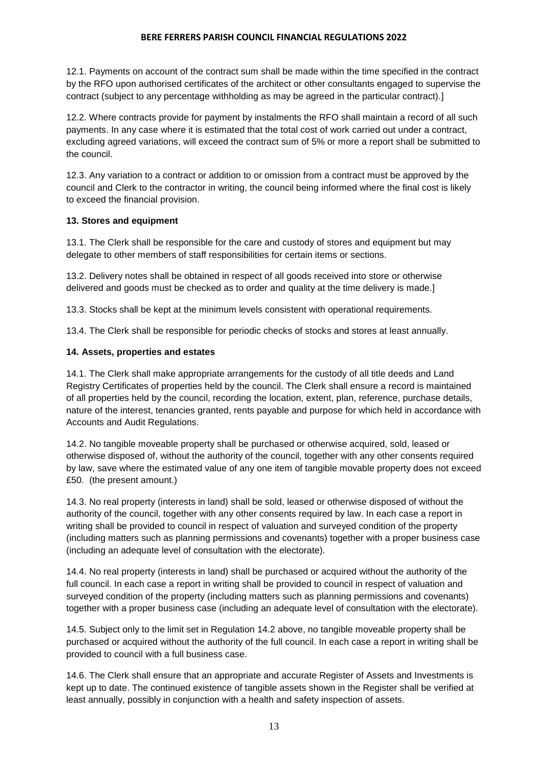12.1. Payments on account of the contract sum shall be made within the time specified in the contract by the RFO upon authorised certificates of the architect or other consultants engaged to supervise the contract (subject to any percentage withholding as may be agreed in the particular contract).]

12.2. Where contracts provide for payment by instalments the RFO shall maintain a record of all such payments. In any case where it is estimated that the total cost of work carried out under a contract, excluding agreed variations, will exceed the contract sum of 5% or more a report shall be submitted to the council.

12.3. Any variation to a contract or addition to or omission from a contract must be approved by the council and Clerk to the contractor in writing, the council being informed where the final cost is likely to exceed the financial provision.

# **13. Stores and equipment**

13.1. The Clerk shall be responsible for the care and custody of stores and equipment but may delegate to other members of staff responsibilities for certain items or sections.

13.2. Delivery notes shall be obtained in respect of all goods received into store or otherwise delivered and goods must be checked as to order and quality at the time delivery is made.]

13.3. Stocks shall be kept at the minimum levels consistent with operational requirements.

13.4. The Clerk shall be responsible for periodic checks of stocks and stores at least annually.

# **14. Assets, properties and estates**

14.1. The Clerk shall make appropriate arrangements for the custody of all title deeds and Land Registry Certificates of properties held by the council. The Clerk shall ensure a record is maintained of all properties held by the council, recording the location, extent, plan, reference, purchase details, nature of the interest, tenancies granted, rents payable and purpose for which held in accordance with Accounts and Audit Regulations.

14.2. No tangible moveable property shall be purchased or otherwise acquired, sold, leased or otherwise disposed of, without the authority of the council, together with any other consents required by law, save where the estimated value of any one item of tangible movable property does not exceed £50. (the present amount.)

14.3. No real property (interests in land) shall be sold, leased or otherwise disposed of without the authority of the council, together with any other consents required by law. In each case a report in writing shall be provided to council in respect of valuation and surveyed condition of the property (including matters such as planning permissions and covenants) together with a proper business case (including an adequate level of consultation with the electorate).

14.4. No real property (interests in land) shall be purchased or acquired without the authority of the full council. In each case a report in writing shall be provided to council in respect of valuation and surveyed condition of the property (including matters such as planning permissions and covenants) together with a proper business case (including an adequate level of consultation with the electorate).

14.5. Subject only to the limit set in Regulation 14.2 above, no tangible moveable property shall be purchased or acquired without the authority of the full council. In each case a report in writing shall be provided to council with a full business case.

14.6. The Clerk shall ensure that an appropriate and accurate Register of Assets and Investments is kept up to date. The continued existence of tangible assets shown in the Register shall be verified at least annually, possibly in conjunction with a health and safety inspection of assets.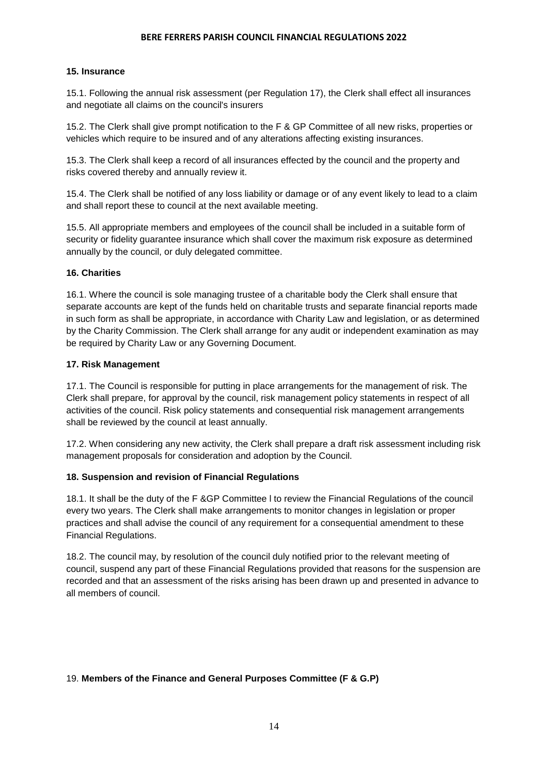# **15. Insurance**

15.1. Following the annual risk assessment (per Regulation 17), the Clerk shall effect all insurances and negotiate all claims on the council's insurers

15.2. The Clerk shall give prompt notification to the F & GP Committee of all new risks, properties or vehicles which require to be insured and of any alterations affecting existing insurances.

15.3. The Clerk shall keep a record of all insurances effected by the council and the property and risks covered thereby and annually review it.

15.4. The Clerk shall be notified of any loss liability or damage or of any event likely to lead to a claim and shall report these to council at the next available meeting.

15.5. All appropriate members and employees of the council shall be included in a suitable form of security or fidelity guarantee insurance which shall cover the maximum risk exposure as determined annually by the council, or duly delegated committee.

### **16. Charities**

16.1. Where the council is sole managing trustee of a charitable body the Clerk shall ensure that separate accounts are kept of the funds held on charitable trusts and separate financial reports made in such form as shall be appropriate, in accordance with Charity Law and legislation, or as determined by the Charity Commission. The Clerk shall arrange for any audit or independent examination as may be required by Charity Law or any Governing Document.

### **17. Risk Management**

17.1. The Council is responsible for putting in place arrangements for the management of risk. The Clerk shall prepare, for approval by the council, risk management policy statements in respect of all activities of the council. Risk policy statements and consequential risk management arrangements shall be reviewed by the council at least annually.

17.2. When considering any new activity, the Clerk shall prepare a draft risk assessment including risk management proposals for consideration and adoption by the Council.

# **18. Suspension and revision of Financial Regulations**

18.1. It shall be the duty of the F &GP Committee l to review the Financial Regulations of the council every two years. The Clerk shall make arrangements to monitor changes in legislation or proper practices and shall advise the council of any requirement for a consequential amendment to these Financial Regulations.

18.2. The council may, by resolution of the council duly notified prior to the relevant meeting of council, suspend any part of these Financial Regulations provided that reasons for the suspension are recorded and that an assessment of the risks arising has been drawn up and presented in advance to all members of council.

# 19. **Members of the Finance and General Purposes Committee (F & G.P)**